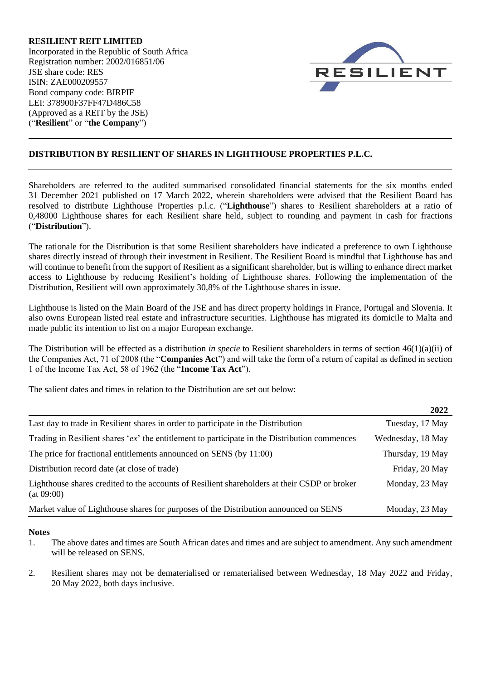**RESILIENT REIT LIMITED** Incorporated in the Republic of South Africa Registration number: 2002/016851/06 JSE share code: RES ISIN: ZAE000209557 Bond company code: BIRPIF LEI: 378900F37FF47D486C58 (Approved as a REIT by the JSE) ("**Resilient**" or "**the Company**")



# **DISTRIBUTION BY RESILIENT OF SHARES IN LIGHTHOUSE PROPERTIES P.L.C.**

Shareholders are referred to the audited summarised consolidated financial statements for the six months ended 31 December 2021 published on 17 March 2022, wherein shareholders were advised that the Resilient Board has resolved to distribute Lighthouse Properties p.l.c. ("**Lighthouse**") shares to Resilient shareholders at a ratio of 0,48000 Lighthouse shares for each Resilient share held, subject to rounding and payment in cash for fractions ("**Distribution**").

The rationale for the Distribution is that some Resilient shareholders have indicated a preference to own Lighthouse shares directly instead of through their investment in Resilient. The Resilient Board is mindful that Lighthouse has and will continue to benefit from the support of Resilient as a significant shareholder, but is willing to enhance direct market access to Lighthouse by reducing Resilient's holding of Lighthouse shares. Following the implementation of the Distribution, Resilient will own approximately 30,8% of the Lighthouse shares in issue.

Lighthouse is listed on the Main Board of the JSE and has direct property holdings in France, Portugal and Slovenia. It also owns European listed real estate and infrastructure securities. Lighthouse has migrated its domicile to Malta and made public its intention to list on a major European exchange.

The Distribution will be effected as a distribution *in specie* to Resilient shareholders in terms of section 46(1)(a)(ii) of the Companies Act, 71 of 2008 (the "**Companies Act**") and will take the form of a return of capital as defined in section 1 of the Income Tax Act, 58 of 1962 (the "**Income Tax Act**").

The salient dates and times in relation to the Distribution are set out below:

|                                                                                                            | 2022              |
|------------------------------------------------------------------------------------------------------------|-------------------|
| Last day to trade in Resilient shares in order to participate in the Distribution                          | Tuesday, 17 May   |
| Trading in Resilient shares 'ex' the entitlement to participate in the Distribution commences              | Wednesday, 18 May |
| The price for fractional entitlements announced on SENS (by 11:00)                                         | Thursday, 19 May  |
| Distribution record date (at close of trade)                                                               | Friday, 20 May    |
| Lighthouse shares credited to the accounts of Resilient shareholders at their CSDP or broker<br>(at 09:00) | Monday, 23 May    |
| Market value of Lighthouse shares for purposes of the Distribution announced on SENS                       | Monday, 23 May    |

#### **Notes**

- 1. The above dates and times are South African dates and times and are subject to amendment. Any such amendment will be released on SENS.
- 2. Resilient shares may not be dematerialised or rematerialised between Wednesday, 18 May 2022 and Friday, 20 May 2022, both days inclusive.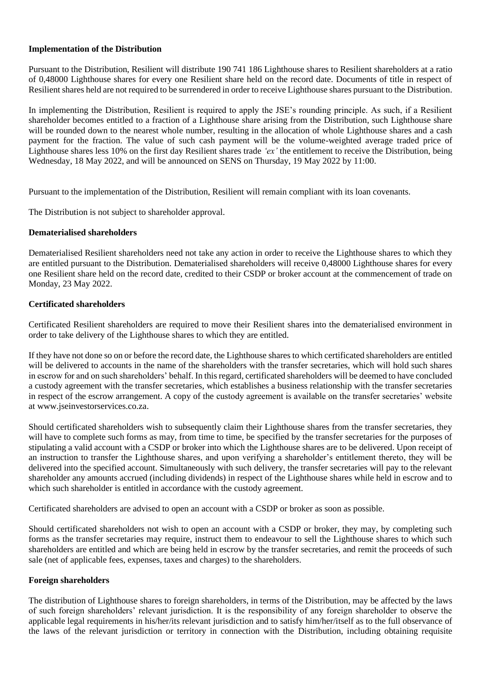### **Implementation of the Distribution**

Pursuant to the Distribution, Resilient will distribute 190 741 186 Lighthouse shares to Resilient shareholders at a ratio of 0,48000 Lighthouse shares for every one Resilient share held on the record date. Documents of title in respect of Resilient shares held are not required to be surrendered in order to receive Lighthouse shares pursuant to the Distribution.

In implementing the Distribution, Resilient is required to apply the JSE's rounding principle. As such, if a Resilient shareholder becomes entitled to a fraction of a Lighthouse share arising from the Distribution, such Lighthouse share will be rounded down to the nearest whole number, resulting in the allocation of whole Lighthouse shares and a cash payment for the fraction. The value of such cash payment will be the volume-weighted average traded price of Lighthouse shares less 10% on the first day Resilient shares trade *'ex'* the entitlement to receive the Distribution, being Wednesday, 18 May 2022, and will be announced on SENS on Thursday, 19 May 2022 by 11:00.

Pursuant to the implementation of the Distribution, Resilient will remain compliant with its loan covenants.

The Distribution is not subject to shareholder approval.

## **Dematerialised shareholders**

Dematerialised Resilient shareholders need not take any action in order to receive the Lighthouse shares to which they are entitled pursuant to the Distribution. Dematerialised shareholders will receive 0,48000 Lighthouse shares for every one Resilient share held on the record date, credited to their CSDP or broker account at the commencement of trade on Monday, 23 May 2022.

## **Certificated shareholders**

Certificated Resilient shareholders are required to move their Resilient shares into the dematerialised environment in order to take delivery of the Lighthouse shares to which they are entitled.

If they have not done so on or before the record date, the Lighthouse shares to which certificated shareholders are entitled will be delivered to accounts in the name of the shareholders with the transfer secretaries, which will hold such shares in escrow for and on such shareholders' behalf. In this regard, certificated shareholders will be deemed to have concluded a custody agreement with the transfer secretaries, which establishes a business relationship with the transfer secretaries in respect of the escrow arrangement. A copy of the custody agreement is available on the transfer secretaries' website at www.jseinvestorservices.co.za.

Should certificated shareholders wish to subsequently claim their Lighthouse shares from the transfer secretaries, they will have to complete such forms as may, from time to time, be specified by the transfer secretaries for the purposes of stipulating a valid account with a CSDP or broker into which the Lighthouse shares are to be delivered. Upon receipt of an instruction to transfer the Lighthouse shares, and upon verifying a shareholder's entitlement thereto, they will be delivered into the specified account. Simultaneously with such delivery, the transfer secretaries will pay to the relevant shareholder any amounts accrued (including dividends) in respect of the Lighthouse shares while held in escrow and to which such shareholder is entitled in accordance with the custody agreement.

Certificated shareholders are advised to open an account with a CSDP or broker as soon as possible.

Should certificated shareholders not wish to open an account with a CSDP or broker, they may, by completing such forms as the transfer secretaries may require, instruct them to endeavour to sell the Lighthouse shares to which such shareholders are entitled and which are being held in escrow by the transfer secretaries, and remit the proceeds of such sale (net of applicable fees, expenses, taxes and charges) to the shareholders.

#### **Foreign shareholders**

The distribution of Lighthouse shares to foreign shareholders, in terms of the Distribution, may be affected by the laws of such foreign shareholders' relevant jurisdiction. It is the responsibility of any foreign shareholder to observe the applicable legal requirements in his/her/its relevant jurisdiction and to satisfy him/her/itself as to the full observance of the laws of the relevant jurisdiction or territory in connection with the Distribution, including obtaining requisite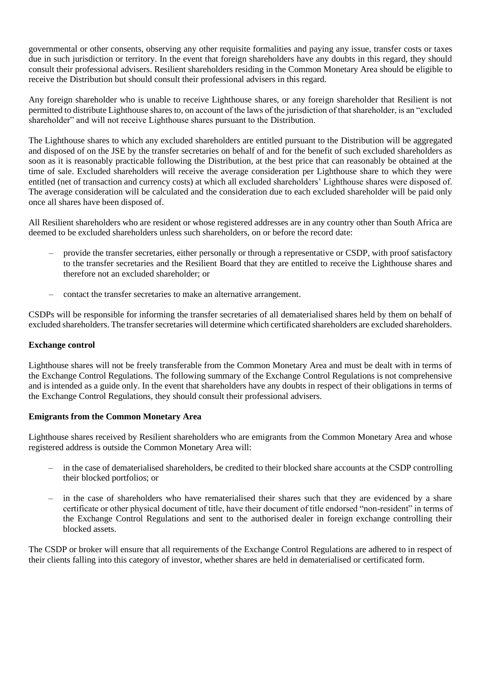governmental or other consents, observing any other requisite formalities and paying any issue, transfer costs or taxes due in such jurisdiction or territory. In the event that foreign shareholders have any doubts in this regard, they should consult their professional advisers. Resilient shareholders residing in the Common Monetary Area should be eligible to receive the Distribution but should consult their professional advisers in this regard.

Any foreign shareholder who is unable to receive Lighthouse shares, or any foreign shareholder that Resilient is not permitted to distribute Lighthouse shares to, on account of the laws of the jurisdiction of that shareholder, is an "excluded shareholder" and will not receive Lighthouse shares pursuant to the Distribution.

The Lighthouse shares to which any excluded shareholders are entitled pursuant to the Distribution will be aggregated and disposed of on the JSE by the transfer secretaries on behalf of and for the benefit of such excluded shareholders as soon as it is reasonably practicable following the Distribution, at the best price that can reasonably be obtained at the time of sale. Excluded shareholders will receive the average consideration per Lighthouse share to which they were entitled (net of transaction and currency costs) at which all excluded shareholders' Lighthouse shares were disposed of. The average consideration will be calculated and the consideration due to each excluded shareholder will be paid only once all shares have been disposed of.

All Resilient shareholders who are resident or whose registered addresses are in any country other than South Africa are deemed to be excluded shareholders unless such shareholders, on or before the record date:

- provide the transfer secretaries, either personally or through a representative or CSDP, with proof satisfactory to the transfer secretaries and the Resilient Board that they are entitled to receive the Lighthouse shares and therefore not an excluded shareholder; or
- contact the transfer secretaries to make an alternative arrangement.

CSDPs will be responsible for informing the transfer secretaries of all dematerialised shares held by them on behalf of excluded shareholders. The transfer secretaries will determine which certificated shareholders are excluded shareholders.

#### **Exchange control**

Lighthouse shares will not be freely transferable from the Common Monetary Area and must be dealt with in terms of the Exchange Control Regulations. The following summary of the Exchange Control Regulations is not comprehensive and is intended as a guide only. In the event that shareholders have any doubts in respect of their obligations in terms of the Exchange Control Regulations, they should consult their professional advisers.

#### **Emigrants from the Common Monetary Area**

Lighthouse shares received by Resilient shareholders who are emigrants from the Common Monetary Area and whose registered address is outside the Common Monetary Area will:

- in the case of dematerialised shareholders, be credited to their blocked share accounts at the CSDP controlling their blocked portfolios; or
- in the case of shareholders who have rematerialised their shares such that they are evidenced by a share certificate or other physical document of title, have their document of title endorsed "non-resident" in terms of the Exchange Control Regulations and sent to the authorised dealer in foreign exchange controlling their blocked assets.

The CSDP or broker will ensure that all requirements of the Exchange Control Regulations are adhered to in respect of their clients falling into this category of investor, whether shares are held in dematerialised or certificated form.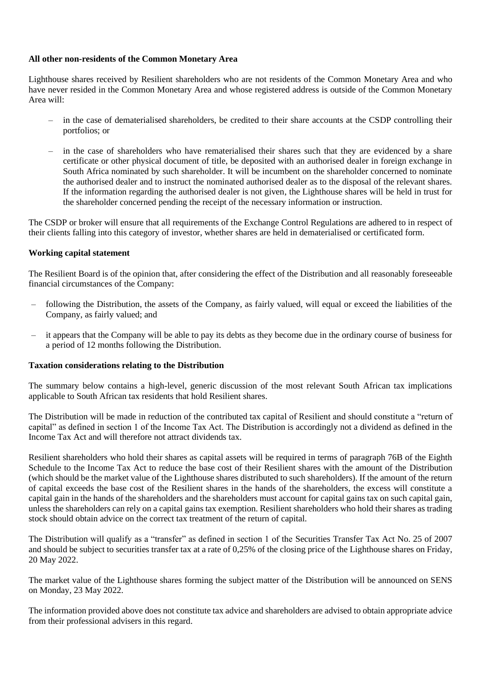#### **All other non-residents of the Common Monetary Area**

Lighthouse shares received by Resilient shareholders who are not residents of the Common Monetary Area and who have never resided in the Common Monetary Area and whose registered address is outside of the Common Monetary Area will:

- in the case of dematerialised shareholders, be credited to their share accounts at the CSDP controlling their portfolios; or
- in the case of shareholders who have rematerialised their shares such that they are evidenced by a share certificate or other physical document of title, be deposited with an authorised dealer in foreign exchange in South Africa nominated by such shareholder. It will be incumbent on the shareholder concerned to nominate the authorised dealer and to instruct the nominated authorised dealer as to the disposal of the relevant shares. If the information regarding the authorised dealer is not given, the Lighthouse shares will be held in trust for the shareholder concerned pending the receipt of the necessary information or instruction.

The CSDP or broker will ensure that all requirements of the Exchange Control Regulations are adhered to in respect of their clients falling into this category of investor, whether shares are held in dematerialised or certificated form.

## **Working capital statement**

The Resilient Board is of the opinion that, after considering the effect of the Distribution and all reasonably foreseeable financial circumstances of the Company:

- following the Distribution, the assets of the Company, as fairly valued, will equal or exceed the liabilities of the Company, as fairly valued; and
- it appears that the Company will be able to pay its debts as they become due in the ordinary course of business for a period of 12 months following the Distribution.

#### **Taxation considerations relating to the Distribution**

The summary below contains a high-level, generic discussion of the most relevant South African tax implications applicable to South African tax residents that hold Resilient shares.

The Distribution will be made in reduction of the contributed tax capital of Resilient and should constitute a "return of capital" as defined in section 1 of the Income Tax Act. The Distribution is accordingly not a dividend as defined in the Income Tax Act and will therefore not attract dividends tax.

Resilient shareholders who hold their shares as capital assets will be required in terms of paragraph 76B of the Eighth Schedule to the Income Tax Act to reduce the base cost of their Resilient shares with the amount of the Distribution (which should be the market value of the Lighthouse shares distributed to such shareholders). If the amount of the return of capital exceeds the base cost of the Resilient shares in the hands of the shareholders, the excess will constitute a capital gain in the hands of the shareholders and the shareholders must account for capital gains tax on such capital gain, unless the shareholders can rely on a capital gains tax exemption. Resilient shareholders who hold their shares as trading stock should obtain advice on the correct tax treatment of the return of capital.

The Distribution will qualify as a "transfer" as defined in section 1 of the Securities Transfer Tax Act No. 25 of 2007 and should be subject to securities transfer tax at a rate of 0,25% of the closing price of the Lighthouse shares on Friday, 20 May 2022.

The market value of the Lighthouse shares forming the subject matter of the Distribution will be announced on SENS on Monday, 23 May 2022.

The information provided above does not constitute tax advice and shareholders are advised to obtain appropriate advice from their professional advisers in this regard.